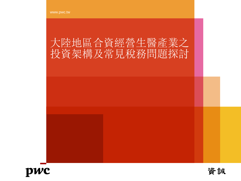## 大陸地區合資經營生醫產業之 投資架構及常見稅務問題探討



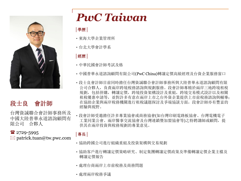

#### 段士良 會計師

台灣資誠聯合會計師事務所及 中國大陸普華永道諮詢顧問有 限公司 合夥人

#### $2729 - 5995$

 $\boxtimes$  patrick.tuan@tw.pwc.com

# *PwC Taiwan*

**│**學歷**│**

- ‧東海大學企業管理所
- ‧台北大學會計學系

#### **│**經歷**│**

- ‧中華民國會計師考試及格
- 中國普華永道諮詢顧問有限公司(PwC China)轉讓定價高級經理及台資企業服務窗口
- 段士良會計師目前同時擔任台灣資誠聯合會計師事務所與大陸普華永道諮詢顧問有限 公司合夥人,負責兩岸跨境稅務諮詢與規劃服務。段會計師專精於兩岸三地跨境租稅 規劃,包括併購,轉讓定價,跨境投資架構設計及重組,跨境交易模式設計以及相關 租稅優惠申請等,並對許多有意在兩岸上市之台外資企業提供上市前稅務諮詢與輔導; 在協助企業與兩岸稅務機關進行租稅議題探討及爭端協談方面,段會計師亦有豐富的 經驗與視野。
- ‧段會計師受邀擔任許多專業協會或商務協會(如台灣印刷電路板協會、台灣電機電子 工業同業公會、兩岸醫事交流協會及台灣連鎖暨加盟協會等)之特聘講師或顧問,提 供其在兩岸投資與稅務規劃的專業意見。

#### **│**專長**│**

- 協助跨國公司進行組織重組及投資架構與交易規劃
- 協助客戶進行轉讓定價策略研究、制定集團轉讓定價政策及準備轉讓定價企業主檔及 轉讓定價報告
- ‧處理台商兩岸上市前稅務及商務問題
- ‧處理兩岸稅務爭議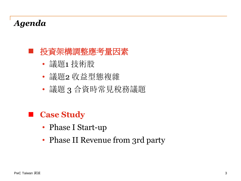## *Agenda*

### ■ 投資架構調整應考量因素

- 議題1 技術股
- 議題2 收益型態複雜
- 議題 3 合資時常見稅務議題

## **Case Study**

- Phase I Start-up
- Phase II Revenue from 3rd party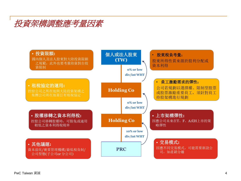

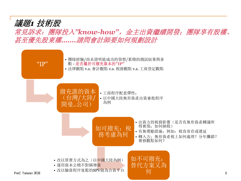

常見訴求:團隊投入*"know-how"*,金主出資繼續開發;團隊享有股權、 甚至優先股東權*…….*請問會計師要如何規劃設計



5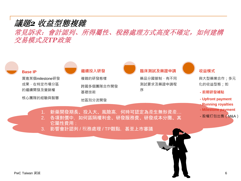#### 議題*2* 收益型態複雜

常見訴求:會計認列、所得屬性、稅務處理方式高度不確定,如何建構 交易模式及*TP*政策

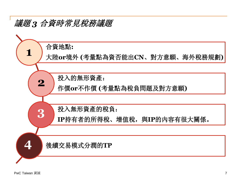### 議題 *3* 合資時常見稅務議題

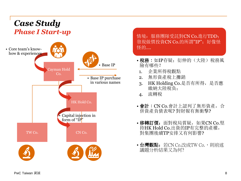### *Case Study Phase I Start-up*



情境: 服務團隊受託對CN Co.進行TDD; 發現做價投資CN Co.的所謂"IP"; 好像怪 怪的….

- 税務: 如IP存疑; 衍伸的(大陸)稅務風 險有哪些?
- 1. 企業所得稅觀點
- 2. 無形資產稅上攤銷
- 3. HK Holding Co.是否有所得,是否應 繳納大陸稅負;
- 4. 流轉稅
- 會計:CN Co.會計上認列了無形資產,合 併資產負債表呢? 對財報有無衝擊?
- •移轉訂價: 面對稅局質疑, 如果CN Co.堅 持HK Hold Co.出資的IP有完整的產權, 對集團後續TP安排又有何影響?
- 台灣觀點: 若CN Co.改成TW Co., 則前述 議題分析結果又為何?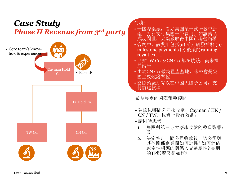### *Case Study Phase II Revenue from 3rd party*



#### 情境:

- 際藥廠,看好集團某一款研發中新 ;支付集團一筆費用; 如 成功問世,大藥廠取得
- 合約中, 該費用包括(a) 前期研發補貼 (b) milestone payments (c) 後續的running royalties ……
- 已知TW Co.及CN Co.都在燒錢, 尚未損 益兩平;
- 由於CN Co.做為量產基地,未來會是集 團主要燒錢單位
- 國際藥廠打算以在中國大陸子公司,支 付前述款項

做為集團的國際租稅顧問

- 建議以哪間公司來收款;Cayman / HK / CN / TW, 税負上較有效益;
- 請同時思考
- 1. 集團對第三方大藥廠收款的稅負影響; 及
- 2. 決定特定一間公司收款後,該公司與 其他關係企業間如何定性? 如何評估 或定性相應的關係人交易屬性? 長期 的TP影響又是如何?